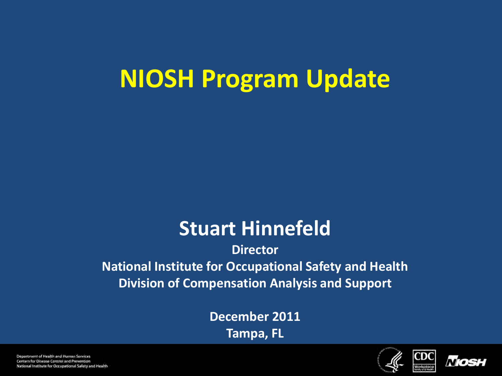## **NIOSH Program Update**

#### **Stuart Hinnefeld**

#### **Director National Institute for Occupational Safety and Health Division of Compensation Analysis and Support**

**December 2011 Tampa, FL**



CDC



Department of Health and Human Services Centers for Disease Control and Prevention National Institute for Occupational Safety and Health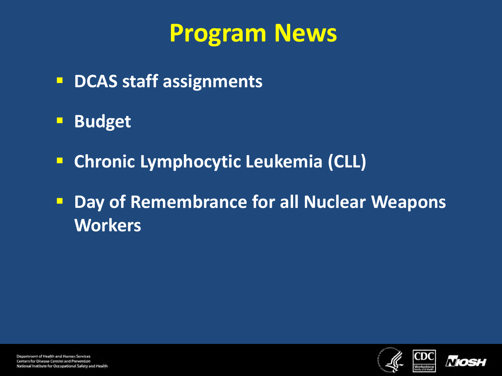## **Program News**

- **DCAS staff assignments**
- **Budget**
- **E** Chronic Lymphocytic Leukemia (CLL)
- **Day of Remembrance for all Nuclear Weapons Workers**



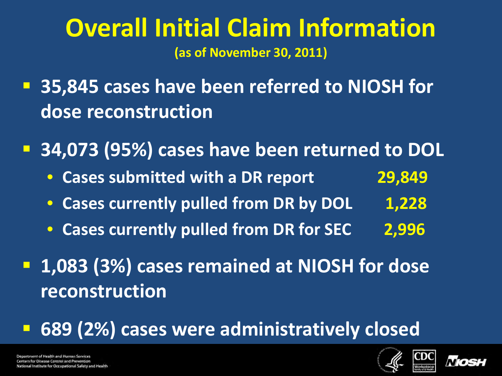### **Overall Initial Claim Information (as of November 30, 2011)**

 **35,845 cases have been referred to NIOSH for dose reconstruction**

**34,073 (95%) cases have been returned to DOL**

- **Cases submitted with a DR report 29,849**
- **Cases currently pulled from DR by DOL 1,228**
- **Cases currently pulled from DR for SEC 2,996**
- **1,083 (3%) cases remained at NIOSH for dose reconstruction**

**689 (2%) cases were administratively closed**





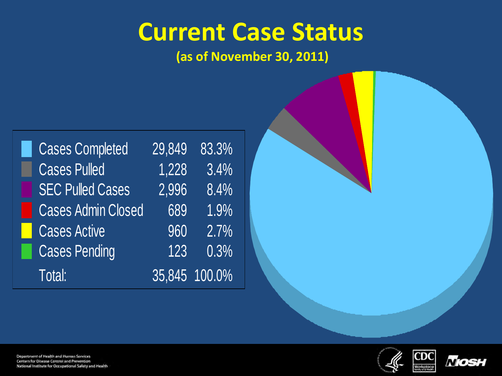### **Current Case Status**

**(as of November 30, 2011)**

| <b>Cases Completed</b>    | 29,849 | 83.3%         |
|---------------------------|--------|---------------|
| <b>Cases Pulled</b>       | 1,228  | 3.4%          |
| <b>SEC Pulled Cases</b>   | 2,996  | 8.4%          |
| <b>Cases Admin Closed</b> | 689    | $1.9\%$       |
| <b>Cases Active</b>       | 960    | 2.7%          |
| <b>Cases Pending</b>      | 123    | 0.3%          |
| Total:                    |        | 35,845 100.0% |



 $CDC$ 



Department of Health and Human Services Centers for Disease Control and Prevention National Institute for Occupational Safety and Health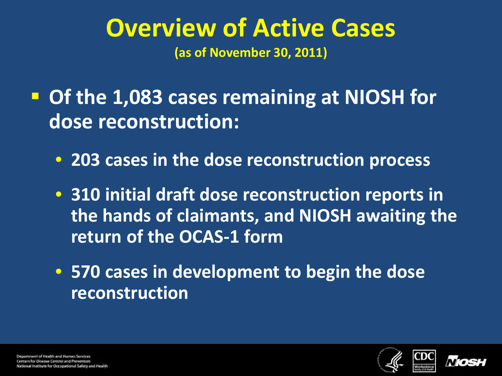#### **Overview of Active Cases (as of November 30, 2011)**

 **Of the 1,083 cases remaining at NIOSH for dose reconstruction:**

- **203 cases in the dose reconstruction process**
- **310 initial draft dose reconstruction reports in the hands of claimants, and NIOSH awaiting the return of the OCAS-1 form**
- **570 cases in development to begin the dose reconstruction**



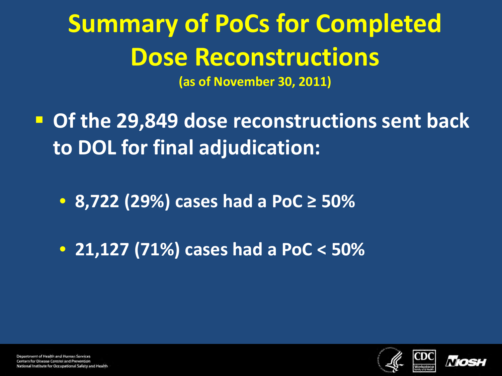# **Summary of PoCs for Completed Dose Reconstructions**

**(as of November 30, 2011)**

- **Of the 29,849 dose reconstructions sent back to DOL for final adjudication:**
	- **8,722 (29%) cases had a PoC ≥ 50%**
	- **21,127 (71%) cases had a PoC < 50%**



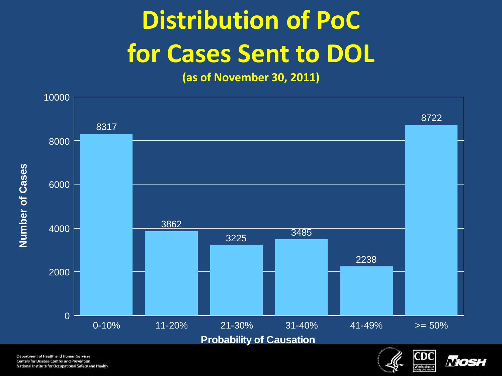## **Distribution of PoC for Cases Sent to DOL**

**(as of November 30, 2011)**



Department of Health and Human Services **Centers for Disease Control and Prevention** National Institute for Occupational Safety and Health



*Mos*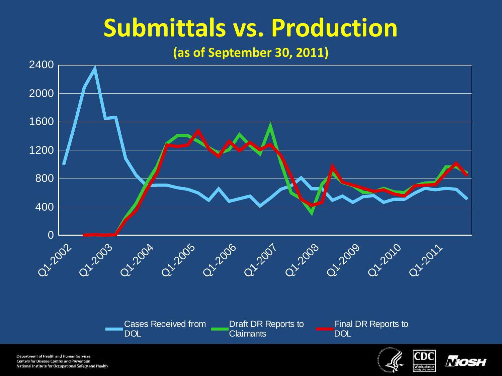## **Submittals vs. Production**

**(as of September 30, 2011)**



Department of Health and Human Services **Centers for Disease Control and Prevention** National Institute for Occupational Safety and Health

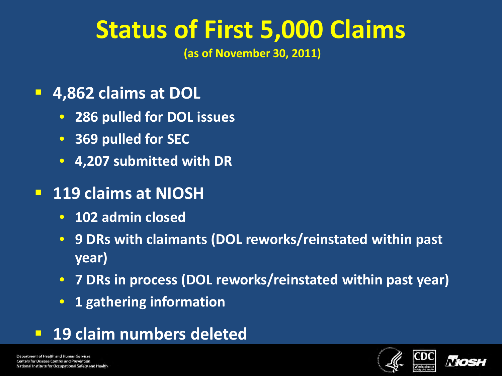## **Status of First 5,000 Claims**

**(as of November 30, 2011)** 

- **4,862 claims at DOL**
	- **286 pulled for DOL issues**
	- **369 pulled for SEC**
	- **4,207 submitted with DR**
- **119 claims at NIOSH**
	- **102 admin closed**
	- **9 DRs with claimants (DOL reworks/reinstated within past year)**
	- **7 DRs in process (DOL reworks/reinstated within past year)**
	- **1 gathering information**
- **19 claim numbers deleted**



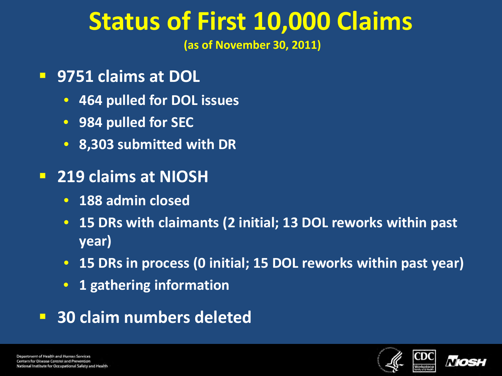## **Status of First 10,000 Claims**

**(as of November 30, 2011)** 

- **9751 claims at DOL**
	- **464 pulled for DOL issues**
	- **984 pulled for SEC**
	- **8,303 submitted with DR**
- **219 claims at NIOSH**
	- **188 admin closed**
	- **15 DRs with claimants (2 initial; 13 DOL reworks within past year)**
	- **15 DRs in process (0 initial; 15 DOL reworks within past year)**
	- **1 gathering information**
- **30 claim numbers deleted**

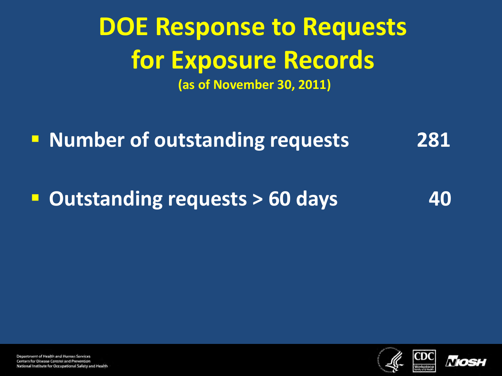### **DOE Response to Requests for Exposure Records (as of November 30, 2011)**

**Number of outstanding requests 18281** 

**Dutstanding requests > 60 days** 40



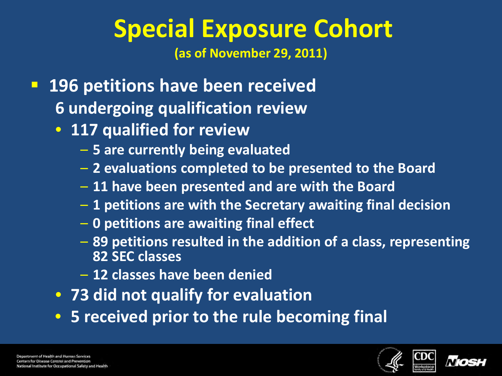## **Special Exposure Cohort**

**(as of November 29, 2011)**

- **196 petitions have been received 6 undergoing qualification review**
	- **117 qualified for review**
		- **5 are currently being evaluated**
		- **2 evaluations completed to be presented to the Board**
		- **11 have been presented and are with the Board**
		- **1 petitions are with the Secretary awaiting final decision**
		- **0 petitions are awaiting final effect**
		- **89 petitions resulted in the addition of a class, representing 82 SEC classes**
		- **12 classes have been denied**
	- **73 did not qualify for evaluation**
	- **5 received prior to the rule becoming final**